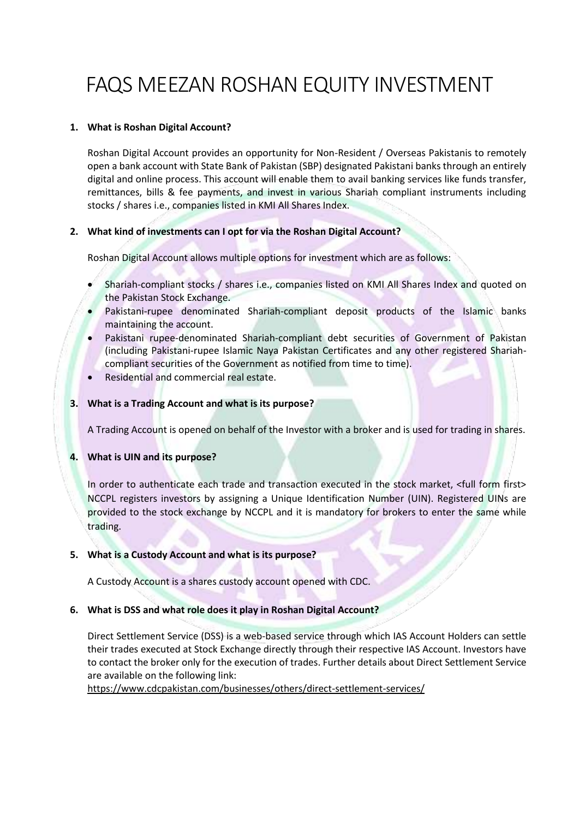# FAQS MEEZAN ROSHAN EQUITY INVESTMENT

# **1. What is Roshan Digital Account?**

Roshan Digital Account provides an opportunity for Non-Resident / Overseas Pakistanis to remotely open a bank account with State Bank of Pakistan (SBP) designated Pakistani banks through an entirely digital and online process. This account will enable them to avail banking services like funds transfer, remittances, bills & fee payments, and invest in various Shariah compliant instruments including stocks / shares i.e., companies listed in KMI All Shares Index.

# **2. What kind of investments can I opt for via the Roshan Digital Account?**

Roshan Digital Account allows multiple options for investment which are as follows:

- Shariah-compliant stocks / shares i.e., companies listed on KMI All Shares Index and quoted on the Pakistan Stock Exchange.
- Pakistani-rupee denominated Shariah-compliant deposit products of the Islamic banks maintaining the account.
- Pakistani rupee-denominated Shariah-compliant debt securities of Government of Pakistan (including Pakistani-rupee Islamic Naya Pakistan Certificates and any other registered Shariahcompliant securities of the Government as notified from time to time).
- Residential and commercial real estate.

#### **3. What is a Trading Account and what is its purpose?**

A Trading Account is opened on behalf of the Investor with a broker and is used for trading in shares.

#### **4. What is UIN and its purpose?**

In order to authenticate each trade and transaction executed in the stock market, <full form first> NCCPL registers investors by assigning a Unique Identification Number (UIN). Registered UINs are provided to the stock exchange by NCCPL and it is mandatory for brokers to enter the same while trading.

#### **5. What is a Custody Account and what is its purpose?**

A Custody Account is a shares custody account opened with CDC.

#### **6. What is DSS and what role does it play in Roshan Digital Account?**

Direct Settlement Service (DSS) is a web-based service through which IAS Account Holders can settle their trades executed at Stock Exchange directly through their respective IAS Account. Investors have to contact the broker only for the execution of trades. Further details about Direct Settlement Service are available on the following link:

<https://www.cdcpakistan.com/businesses/others/direct-settlement-services/>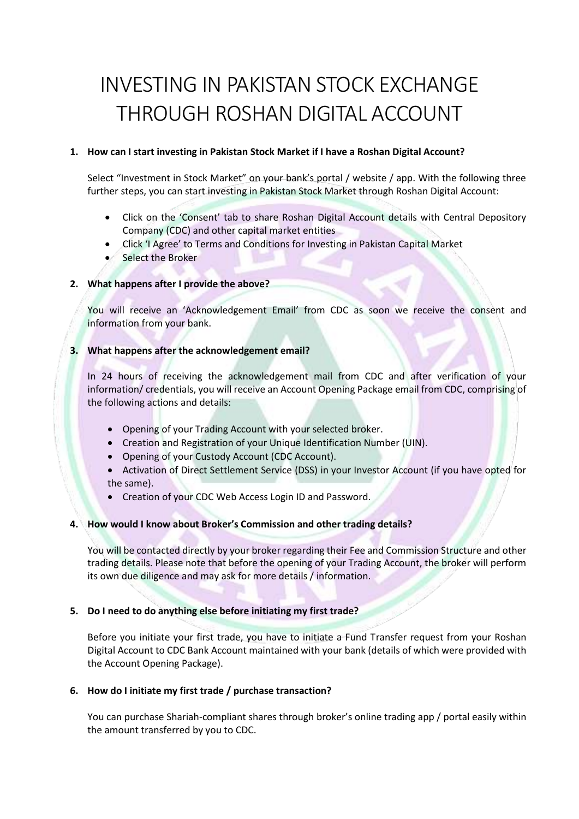# INVESTING IN PAKISTAN STOCK EXCHANGE THROUGH ROSHAN DIGITAL ACCOUNT

# **1. How can I start investing in Pakistan Stock Market if I have a Roshan Digital Account?**

Select "Investment in Stock Market" on your bank's portal / website / app. With the following three further steps, you can start investing in Pakistan Stock Market through Roshan Digital Account:

- Click on the 'Consent' tab to share Roshan Digital Account details with Central Depository Company (CDC) and other capital market entities
- Click 'I Agree' to Terms and Conditions for Investing in Pakistan Capital Market
- Select the Broker

#### **2. What happens after I provide the above?**

You will receive an 'Acknowledgement Email' from CDC as soon we receive the consent and information from your bank.

# **3. What happens after the acknowledgement email?**

In 24 hours of receiving the acknowledgement mail from CDC and after verification of your information/ credentials, you will receive an Account Opening Package email from CDC, comprising of the following actions and details:

- Opening of your Trading Account with your selected broker.
- Creation and Registration of your Unique Identification Number (UIN).
- Opening of your Custody Account (CDC Account).
- Activation of Direct Settlement Service (DSS) in your Investor Account (if you have opted for the same).
- Creation of your CDC Web Access Login ID and Password.

#### **4. How would I know about Broker's Commission and other trading details?**

You will be contacted directly by your broker regarding their Fee and Commission Structure and other trading details. Please note that before the opening of your Trading Account, the broker will perform its own due diligence and may ask for more details / information.

#### **5. Do I need to do anything else before initiating my first trade?**

Before you initiate your first trade, you have to initiate a Fund Transfer request from your Roshan Digital Account to CDC Bank Account maintained with your bank (details of which were provided with the Account Opening Package).

#### **6. How do I initiate my first trade / purchase transaction?**

You can purchase Shariah-compliant shares through broker's online trading app / portal easily within the amount transferred by you to CDC.